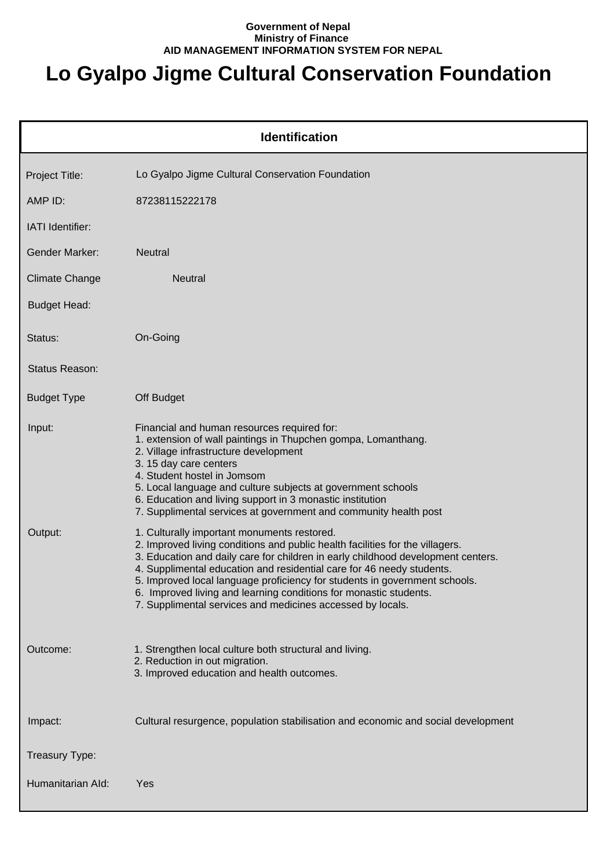## **Government of Nepal Ministry of Finance AID MANAGEMENT INFORMATION SYSTEM FOR NEPAL**

## **Lo Gyalpo Jigme Cultural Conservation Foundation**

| <b>Identification</b> |                                                                                                                                                                                                                                                                                                                                                                                                                                                                                                            |  |
|-----------------------|------------------------------------------------------------------------------------------------------------------------------------------------------------------------------------------------------------------------------------------------------------------------------------------------------------------------------------------------------------------------------------------------------------------------------------------------------------------------------------------------------------|--|
| Project Title:        | Lo Gyalpo Jigme Cultural Conservation Foundation                                                                                                                                                                                                                                                                                                                                                                                                                                                           |  |
| AMP ID:               | 87238115222178                                                                                                                                                                                                                                                                                                                                                                                                                                                                                             |  |
| IATI Identifier:      |                                                                                                                                                                                                                                                                                                                                                                                                                                                                                                            |  |
| <b>Gender Marker:</b> | Neutral                                                                                                                                                                                                                                                                                                                                                                                                                                                                                                    |  |
| <b>Climate Change</b> | <b>Neutral</b>                                                                                                                                                                                                                                                                                                                                                                                                                                                                                             |  |
| <b>Budget Head:</b>   |                                                                                                                                                                                                                                                                                                                                                                                                                                                                                                            |  |
| Status:               | On-Going                                                                                                                                                                                                                                                                                                                                                                                                                                                                                                   |  |
| Status Reason:        |                                                                                                                                                                                                                                                                                                                                                                                                                                                                                                            |  |
| <b>Budget Type</b>    | Off Budget                                                                                                                                                                                                                                                                                                                                                                                                                                                                                                 |  |
| Input:                | Financial and human resources required for:<br>1. extension of wall paintings in Thupchen gompa, Lomanthang.<br>2. Village infrastructure development<br>3. 15 day care centers<br>4. Student hostel in Jomsom<br>5. Local language and culture subjects at government schools<br>6. Education and living support in 3 monastic institution<br>7. Supplimental services at government and community health post                                                                                            |  |
| Output:               | 1. Culturally important monuments restored.<br>2. Improved living conditions and public health facilities for the villagers.<br>3. Education and daily care for children in early childhood development centers.<br>4. Supplimental education and residential care for 46 needy students.<br>5. Improved local language proficiency for students in government schools.<br>6. Improved living and learning conditions for monastic students.<br>7. Supplimental services and medicines accessed by locals. |  |
| Outcome:              | 1. Strengthen local culture both structural and living.<br>2. Reduction in out migration.<br>3. Improved education and health outcomes.                                                                                                                                                                                                                                                                                                                                                                    |  |
| Impact:               | Cultural resurgence, population stabilisation and economic and social development                                                                                                                                                                                                                                                                                                                                                                                                                          |  |
| Treasury Type:        |                                                                                                                                                                                                                                                                                                                                                                                                                                                                                                            |  |
| Humanitarian Ald:     | Yes                                                                                                                                                                                                                                                                                                                                                                                                                                                                                                        |  |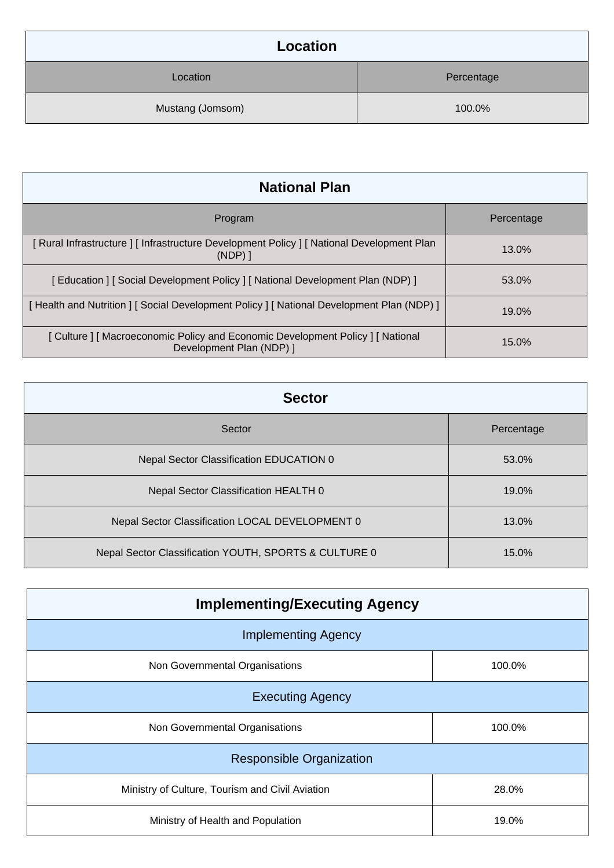| Location         |            |
|------------------|------------|
| Location         | Percentage |
| Mustang (Jomsom) | 100.0%     |

| <b>National Plan</b>                                                                                        |            |
|-------------------------------------------------------------------------------------------------------------|------------|
| Program                                                                                                     | Percentage |
| [ Rural Infrastructure ] [ Infrastructure Development Policy ] [ National Development Plan<br>$(NDP)$ ]     | $13.0\%$   |
| [Education ] [Social Development Policy ] [National Development Plan (NDP) ]                                | 53.0%      |
| [Health and Nutrition ] [Social Development Policy ] [National Development Plan (NDP) ]                     | $19.0\%$   |
| [ Culture ] [ Macroeconomic Policy and Economic Development Policy ] [ National<br>Development Plan (NDP) 1 | 15.0%      |

| <b>Sector</b>                                         |            |  |
|-------------------------------------------------------|------------|--|
| Sector                                                | Percentage |  |
| Nepal Sector Classification EDUCATION 0               | 53.0%      |  |
| Nepal Sector Classification HEALTH 0                  | 19.0%      |  |
| Nepal Sector Classification LOCAL DEVELOPMENT 0       | 13.0%      |  |
| Nepal Sector Classification YOUTH, SPORTS & CULTURE 0 | 15.0%      |  |

| <b>Implementing/Executing Agency</b>            |        |  |
|-------------------------------------------------|--------|--|
| <b>Implementing Agency</b>                      |        |  |
| Non Governmental Organisations                  | 100.0% |  |
| <b>Executing Agency</b>                         |        |  |
| Non Governmental Organisations                  | 100.0% |  |
| <b>Responsible Organization</b>                 |        |  |
| Ministry of Culture, Tourism and Civil Aviation | 28.0%  |  |
| Ministry of Health and Population               | 19.0%  |  |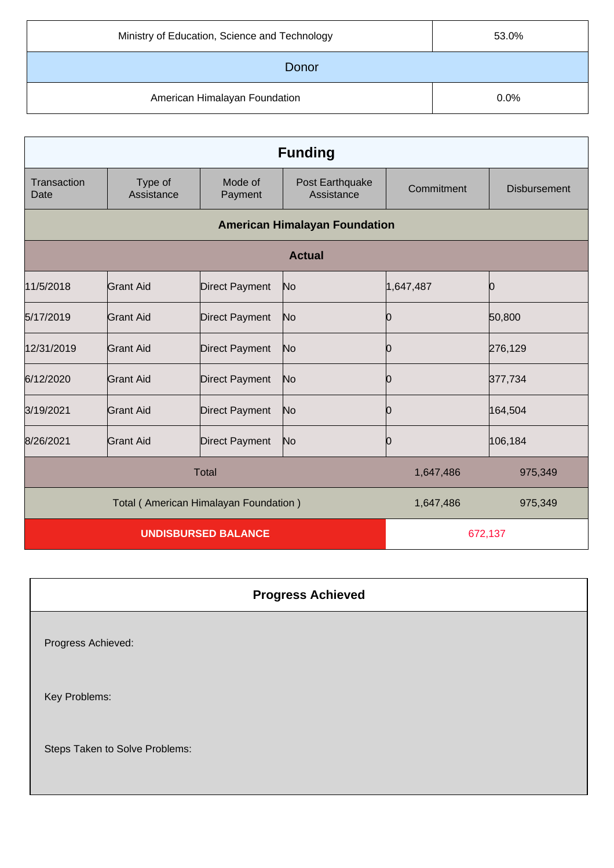| Ministry of Education, Science and Technology | 53.0% |
|-----------------------------------------------|-------|
| Donor                                         |       |
| American Himalayan Foundation                 | 0.0%  |

| <b>Funding</b>                        |                       |                       |                                      |            |                     |
|---------------------------------------|-----------------------|-----------------------|--------------------------------------|------------|---------------------|
| Transaction<br>Date                   | Type of<br>Assistance | Mode of<br>Payment    | Post Earthquake<br>Assistance        | Commitment | <b>Disbursement</b> |
|                                       |                       |                       | <b>American Himalayan Foundation</b> |            |                     |
|                                       | <b>Actual</b>         |                       |                                      |            |                     |
| 11/5/2018                             | Grant Aid             | <b>Direct Payment</b> | No                                   | 1,647,487  | Ю                   |
| 5/17/2019                             | Grant Aid             | <b>Direct Payment</b> | No                                   |            | 50,800              |
| 12/31/2019                            | <b>Grant Aid</b>      | <b>Direct Payment</b> | No                                   |            | 276,129             |
| 6/12/2020                             | Grant Aid             | <b>Direct Payment</b> | No                                   |            | 377,734             |
| 3/19/2021                             | Grant Aid             | <b>Direct Payment</b> | No                                   | O          | 164,504             |
| 8/26/2021                             | Grant Aid             | <b>Direct Payment</b> | No                                   | Ю          | 106,184             |
|                                       |                       | <b>Total</b>          |                                      | 1,647,486  | 975,349             |
| Total (American Himalayan Foundation) |                       |                       | 1,647,486                            | 975,349    |                     |
| <b>UNDISBURSED BALANCE</b>            |                       |                       | 672,137                              |            |                     |

## **Progress Achieved**

Progress Achieved:

Key Problems:

Steps Taken to Solve Problems: